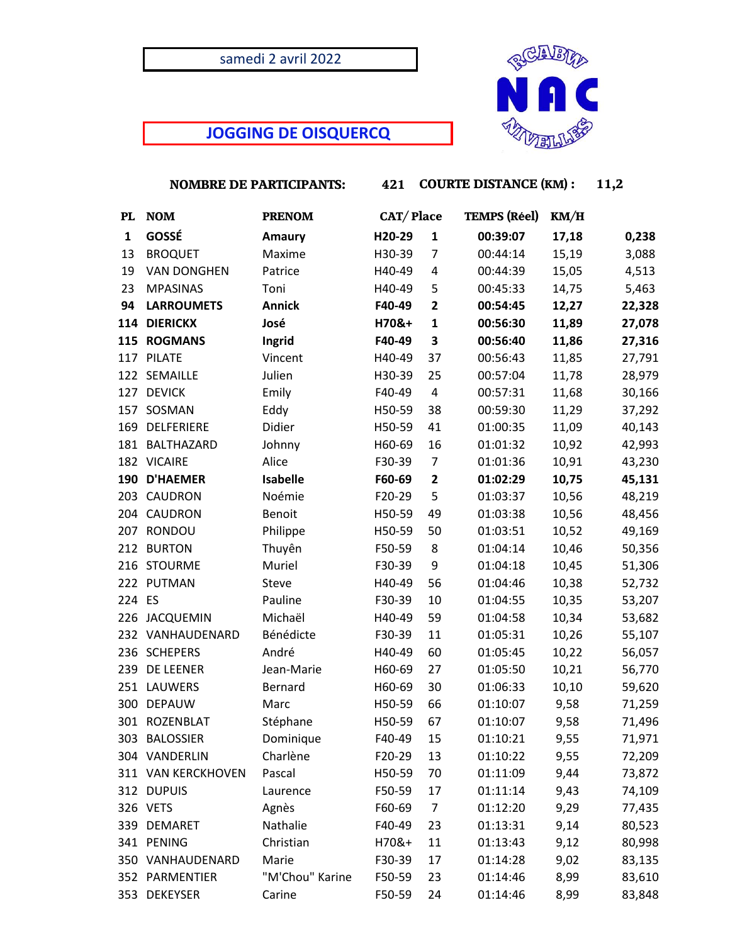## samedi 2 avril 2022

# **JOGGING DE OISQUERCQ**

 **NOMBRE DE PARTICIPANTS: 421 COURTE DISTANCE (KM) : 11,2**

| <b>PL</b>    | <b>NOM</b>         | <b>PRENOM</b>   | CAT/Place |                         | <b>TEMPS (Réel)</b> | KM/H  |        |
|--------------|--------------------|-----------------|-----------|-------------------------|---------------------|-------|--------|
| $\mathbf{1}$ | GOSSÉ              | <b>Amaury</b>   | H20-29    | $\mathbf{1}$            | 00:39:07            | 17,18 | 0,238  |
| 13           | <b>BROQUET</b>     | Maxime          | H30-39    | $\overline{7}$          | 00:44:14            | 15,19 | 3,088  |
| 19           | <b>VAN DONGHEN</b> | Patrice         | H40-49    | 4                       | 00:44:39            | 15,05 | 4,513  |
| 23           | <b>MPASINAS</b>    | Toni            | H40-49    | 5                       | 00:45:33            | 14,75 | 5,463  |
| 94           | <b>LARROUMETS</b>  | <b>Annick</b>   | F40-49    | $\overline{\mathbf{c}}$ | 00:54:45            | 12,27 | 22,328 |
| 114          | <b>DIERICKX</b>    | José            | H70&+     | 1                       | 00:56:30            | 11,89 | 27,078 |
|              | 115 ROGMANS        | Ingrid          | F40-49    | 3                       | 00:56:40            | 11,86 | 27,316 |
|              | 117 PILATE         | Vincent         | H40-49    | 37                      | 00:56:43            | 11,85 | 27,791 |
|              | 122 SEMAILLE       | Julien          | H30-39    | 25                      | 00:57:04            | 11,78 | 28,979 |
|              | 127 DEVICK         | Emily           | F40-49    | 4                       | 00:57:31            | 11,68 | 30,166 |
|              | 157 SOSMAN         | Eddy            | H50-59    | 38                      | 00:59:30            | 11,29 | 37,292 |
| 169          | DELFERIERE         | Didier          | H50-59    | 41                      | 01:00:35            | 11,09 | 40,143 |
| 181          | BALTHAZARD         | Johnny          | H60-69    | 16                      | 01:01:32            | 10,92 | 42,993 |
| 182          | <b>VICAIRE</b>     | Alice           | F30-39    | $\overline{7}$          | 01:01:36            | 10,91 | 43,230 |
| 190          | <b>D'HAEMER</b>    | <b>Isabelle</b> | F60-69    | $\mathbf{2}$            | 01:02:29            | 10,75 | 45,131 |
| 203          | CAUDRON            | Noémie          | F20-29    | 5                       | 01:03:37            | 10,56 | 48,219 |
|              | 204 CAUDRON        | Benoit          | H50-59    | 49                      | 01:03:38            | 10,56 | 48,456 |
| 207          | RONDOU             | Philippe        | H50-59    | 50                      | 01:03:51            | 10,52 | 49,169 |
| 212          | <b>BURTON</b>      | Thuyên          | F50-59    | 8                       | 01:04:14            | 10,46 | 50,356 |
|              | 216 STOURME        | Muriel          | F30-39    | 9                       | 01:04:18            | 10,45 | 51,306 |
|              | 222 PUTMAN         | Steve           | H40-49    | 56                      | 01:04:46            | 10,38 | 52,732 |
| 224 ES       |                    | Pauline         | F30-39    | 10                      | 01:04:55            | 10,35 | 53,207 |
|              | 226 JACQUEMIN      | Michaël         | H40-49    | 59                      | 01:04:58            | 10,34 | 53,682 |
|              | 232 VANHAUDENARD   | Bénédicte       | F30-39    | 11                      | 01:05:31            | 10,26 | 55,107 |
|              | 236 SCHEPERS       | André           | H40-49    | 60                      | 01:05:45            | 10,22 | 56,057 |
| 239          | DE LEENER          | Jean-Marie      | H60-69    | 27                      | 01:05:50            | 10,21 | 56,770 |
| 251          | LAUWERS            | Bernard         | H60-69    | 30                      | 01:06:33            | 10,10 | 59,620 |
| 300          | <b>DEPAUW</b>      | Marc            | H50-59    | 66                      | 01:10:07            | 9,58  | 71,259 |
| 301          | <b>ROZENBLAT</b>   | Stéphane        | H50-59    | 67                      | 01:10:07            | 9,58  | 71,496 |
| 303          | <b>BALOSSIER</b>   | Dominique       | F40-49    | 15                      | 01:10:21            | 9,55  | 71,971 |
|              | 304 VANDERLIN      | Charlène        | F20-29    | 13                      | 01:10:22            | 9,55  | 72,209 |
|              | 311 VAN KERCKHOVEN | Pascal          | H50-59    | 70                      | 01:11:09            | 9,44  | 73,872 |
|              | 312 DUPUIS         | Laurence        | F50-59    | 17                      | 01:11:14            | 9,43  | 74,109 |
|              | 326 VETS           | Agnès           | F60-69    | 7                       | 01:12:20            | 9,29  | 77,435 |
|              | 339 DEMARET        | Nathalie        | F40-49    | 23                      | 01:13:31            | 9,14  | 80,523 |
|              | 341 PENING         | Christian       | H70&+     | 11                      | 01:13:43            | 9,12  | 80,998 |
|              | 350 VANHAUDENARD   | Marie           | F30-39    | 17                      | 01:14:28            | 9,02  | 83,135 |
|              | 352 PARMENTIER     | "M'Chou" Karine | F50-59    | 23                      | 01:14:46            | 8,99  | 83,610 |
|              | 353 DEKEYSER       | Carine          | F50-59    | 24                      | 01:14:46            | 8,99  | 83,848 |